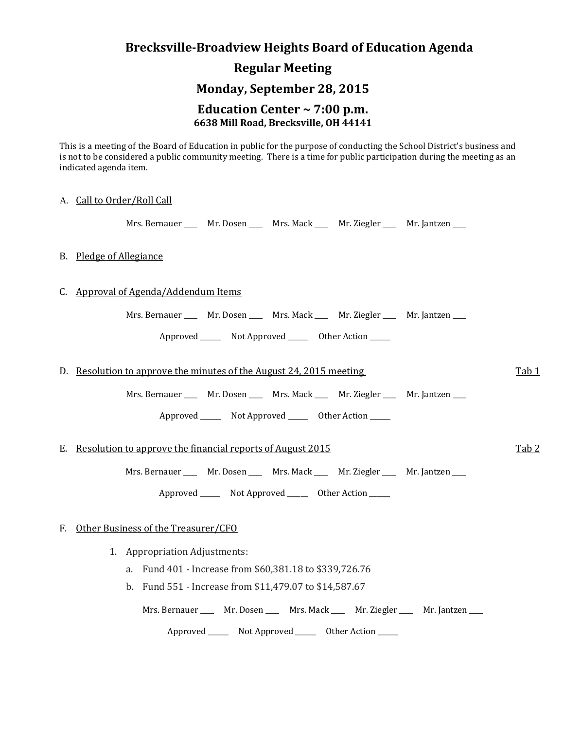# **Brecksville-Broadview Heights Board of Education Agenda**

## **Regular Meeting**

### **Monday, September 28, 2015**

#### **Education Center ~ 7:00 p.m. 6638 Mill Road, Brecksville, OH 44141**

This is a meeting of the Board of Education in public for the purpose of conducting the School District's business and is not to be considered a public community meeting. There is a time for public participation during the meeting as an indicated agenda item.

#### A. Call to Order/Roll Call

Mrs. Bernauer \_\_\_\_ Mr. Dosen \_\_\_ Mrs. Mack \_\_\_ Mr. Ziegler \_\_\_ Mr. Jantzen \_\_\_

#### B. Pledge of Allegiance

#### C. Approval of Agenda/Addendum Items

Mrs. Bernauer \_\_\_\_ Mr. Dosen \_\_\_\_ Mrs. Mack \_\_\_ Mr. Ziegler \_\_\_ Mr. Jantzen \_\_\_

Approved \_\_\_\_\_\_\_\_ Not Approved \_\_\_\_\_\_\_ Other Action \_\_\_\_\_\_

D. Resolution to approve the minutes of the August 24, 2015 meeting Tab 1

Mrs. Bernauer \_\_\_\_ Mr. Dosen \_\_\_\_ Mrs. Mack \_\_\_ Mr. Ziegler \_\_\_ Mr. Jantzen \_\_\_

Approved \_\_\_\_\_\_\_\_ Not Approved \_\_\_\_\_\_\_\_ Other Action \_\_\_\_\_\_

#### E. Resolution to approve the financial reports of August 2015

Mrs. Bernauer \_\_\_\_ Mr. Dosen \_\_\_\_ Mrs. Mack \_\_\_ Mr. Ziegler \_\_\_ Mr. Jantzen \_\_\_

Approved Not Approved Other Action

#### F. Other Business of the Treasurer/CFO

- 1. Appropriation Adjustments:
	- a. Fund 401 Increase from \$60,381.18 to \$339,726.76
	- b. Fund 551 Increase from \$11,479.07 to \$14,587.67

Mrs. Bernauer \_\_\_\_ Mr. Dosen \_\_\_\_ Mrs. Mack \_\_\_ Mr. Ziegler \_\_\_ Mr. Jantzen \_\_\_

Approved \_\_\_\_\_\_\_\_ Not Approved \_\_\_\_\_\_\_ Other Action \_\_\_\_\_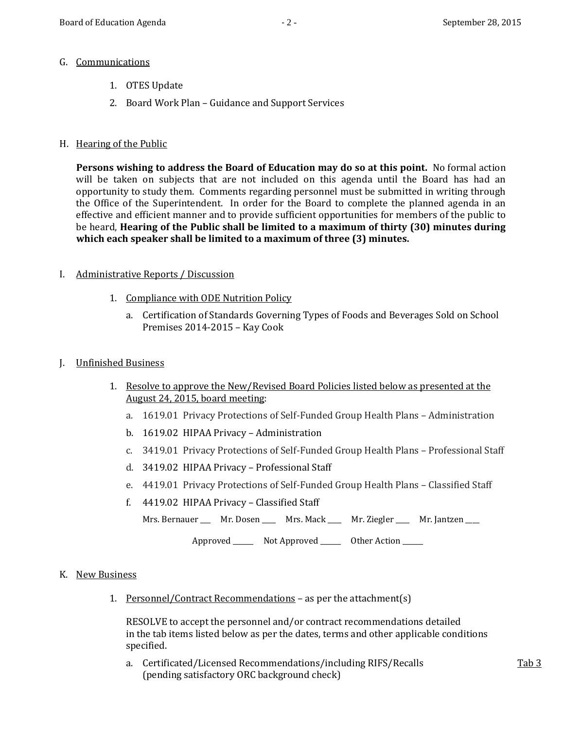#### G. Communications

- 1. OTES Update
- 2. Board Work Plan Guidance and Support Services

#### H. Hearing of the Public

**Persons wishing to address the Board of Education may do so at this point.** No formal action will be taken on subjects that are not included on this agenda until the Board has had an opportunity to study them. Comments regarding personnel must be submitted in writing through the Office of the Superintendent. In order for the Board to complete the planned agenda in an effective and efficient manner and to provide sufficient opportunities for members of the public to be heard, **Hearing of the Public shall be limited to a maximum of thirty (30) minutes during which each speaker shall be limited to a maximum of three (3) minutes.**

#### I. Administrative Reports / Discussion

- 1. Compliance with ODE Nutrition Policy
	- a. Certification of Standards Governing Types of Foods and Beverages Sold on School Premises 2014-2015 – Kay Cook

#### J. Unfinished Business

- 1. Resolve to approve the New/Revised Board Policies listed below as presented at the August 24, 2015, board meeting:
	- a. 1619.01 Privacy Protections of Self-Funded Group Health Plans Administration
	- b. 1619.02 HIPAA Privacy Administration
	- c. 3419.01 Privacy Protections of Self-Funded Group Health Plans Professional Staff
	- d. 3419.02 HIPAA Privacy Professional Staff
	- e. 4419.01 Privacy Protections of Self-Funded Group Health Plans Classified Staff
	- f. 4419.02 HIPAA Privacy Classified Staff

Mrs. Bernauer \_\_\_ Mr. Dosen \_\_\_ Mrs. Mack \_\_\_ Mr. Ziegler \_\_\_ Mr. Jantzen \_\_\_

Approved \_\_\_\_\_\_\_\_ Not Approved \_\_\_\_\_\_\_ Other Action \_\_\_\_\_

#### K. New Business

1. Personnel/Contract Recommendations – as per the attachment(s)

RESOLVE to accept the personnel and/or contract recommendations detailed in the tab items listed below as per the dates, terms and other applicable conditions specified.

a. Certificated/Licensed Recommendations/including RIFS/Recalls Tab 3 (pending satisfactory ORC background check)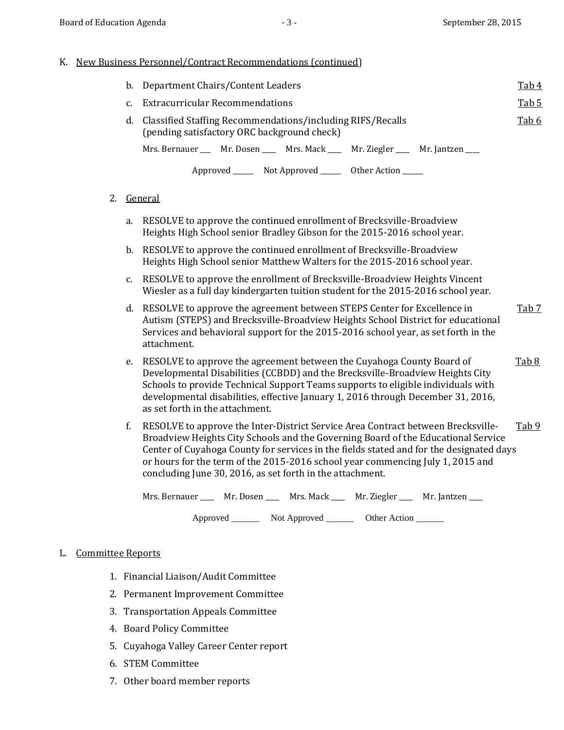#### K. New Business Personnel/Contract Recommendations (continued)

|    | b. Department Chairs/Content Leaders                                                                      |  |  |  |  |
|----|-----------------------------------------------------------------------------------------------------------|--|--|--|--|
| C. | <b>Extracurricular Recommendations</b>                                                                    |  |  |  |  |
| d. | Classified Staffing Recommendations/including RIFS/Recalls<br>(pending satisfactory ORC background check) |  |  |  |  |
|    | Mrs. Bernauer ____ Mr. Dosen ____ Mrs. Mack ____ Mr. Ziegler ____ Mr. Jantzen ___                         |  |  |  |  |
|    | Approved _______ Not Approved _______ Other Action ______                                                 |  |  |  |  |

#### 2. General

- a. RESOLVE to approve the continued enrollment of Brecksville-Broadview Heights High School senior Bradley Gibson for the 2015-2016 school year.
- b. RESOLVE to approve the continued enrollment of Brecksville-Broadview Heights High School senior Matthew Walters for the 2015-2016 school year.
- c. RESOLVE to approve the enrollment of Brecksville-Broadview Heights Vincent Wiesler as a full day kindergarten tuition student for the 2015-2016 school year.
- d. RESOLVE to approve the agreement between STEPS Center for Excellence in Tab 7 Autism (STEPS) and Brecksville-Broadview Heights School District for educational Services and behavioral support for the 2015-2016 school year, as set forth in the attachment.
- e. RESOLVE to approve the agreement between the Cuyahoga County Board of Tab 8 Developmental Disabilities (CCBDD) and the Brecksville-Broadview Heights City Schools to provide Technical Support Teams supports to eligible individuals with developmental disabilities, effective January 1, 2016 through December 31, 2016, as set forth in the attachment.
- f. RESOLVE to approve the Inter-District Service Area Contract between Brecksville-  $\frac{\text{Tab }9}{\text{Tab }9}$ Broadview Heights City Schools and the Governing Board of the Educational Service Center of Cuyahoga County for services in the fields stated and for the designated days or hours for the term of the 2015-2016 school year commencing July 1, 2015 and concluding June 30, 2016, as set forth in the attachment.

| Mrs. Bernauer | Mr. Dosen | Mrs. Mack | Mr. Ziegler | Mr. Jantzen |
|---------------|-----------|-----------|-------------|-------------|
|---------------|-----------|-----------|-------------|-------------|

Approved Not Approved Cher Action

#### L. Committee Reports

- 1. Financial Liaison/Audit Committee
- 2. Permanent Improvement Committee
- 3. Transportation Appeals Committee
- 4. Board Policy Committee
- 5. Cuyahoga Valley Career Center report
- 6. STEM Committee
- 7. Other board member reports